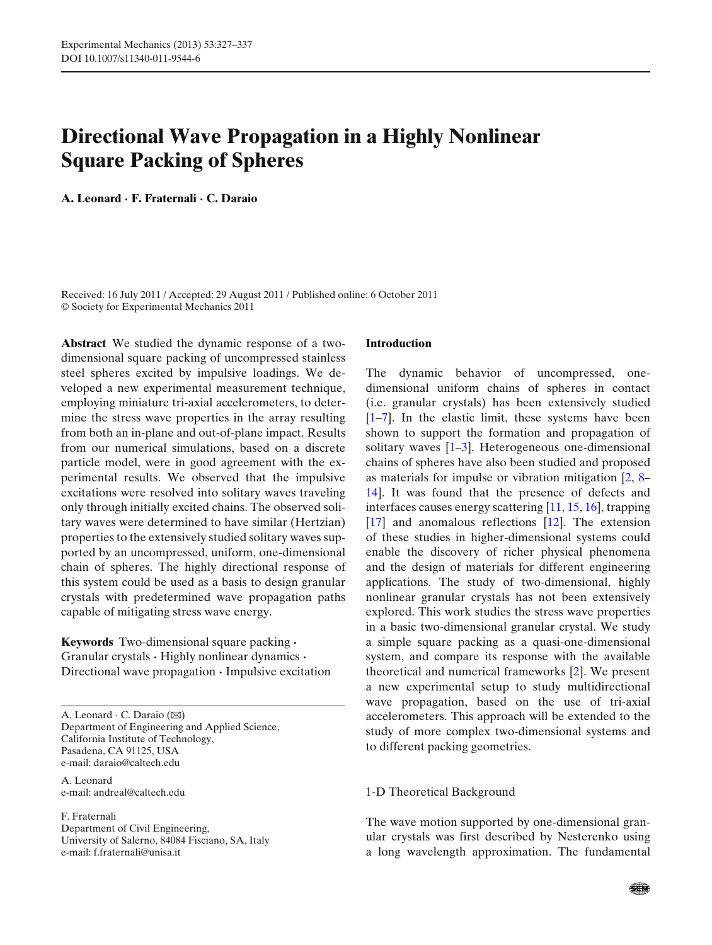# **Directional Wave Propagation in a Highly Nonlinear Square Packing of Spheres**

**A. Leonard · F. Fraternali · C. Daraio**

Received: 16 July 2011 / Accepted: 29 August 2011 / Published online: 6 October 2011 © Society for Experimental Mechanics 2011

**Abstract** We studied the dynamic response of a twodimensional square packing of uncompressed stainless steel spheres excited by impulsive loadings. We developed a new experimental measurement technique, employing miniature tri-axial accelerometers, to determine the stress wave properties in the array resulting from both an in-plane and out-of-plane impact. Results from our numerical simulations, based on a discrete particle model, were in good agreement with the experimental results. We observed that the impulsive excitations were resolved into solitary waves traveling only through initially excited chains. The observed solitary waves were determined to have similar (Hertzian) properties to the extensively studied solitary waves supported by an uncompressed, uniform, one-dimensional chain of spheres. The highly directional response of this system could be used as a basis to design granular crystals with predetermined wave propagation paths capable of mitigating stress wave energy.

**Keywords** Two-dimensional square packing **·** Granular crystals **·** Highly nonlinear dynamics **·** Directional wave propagation **·** Impulsive excitation

A. Leonard  $\cdot$  C. Daraio ( $\boxtimes$ ) Department of Engineering and Applied Science, California Institute of Technology, Pasadena, CA 91125, USA e-mail: daraio@caltech.edu

A. Leonard e-mail: andreal@caltech.edu

#### F. Fraternali Department of Civil Engineering, University of Salerno, 84084 Fisciano, SA, Italy e-mail: f.fraternali@unisa.it

## **Introduction**

The dynamic behavior of uncompressed, onedimensional uniform chains of spheres in contact (i.e. granular crystals) has been extensively studied  $[1–7]$  $[1–7]$ . In the elastic limit, these systems have been shown to support the formation and propagation of solitary waves [\[1–3](#page-9-0)]. Heterogeneous one-dimensional chains of spheres have also been studied and proposed as materials for impulse or vibration mitigation [\[2](#page-9-0), [8](#page-9-0)– [14](#page-9-0)]. It was found that the presence of defects and interfaces causes energy scattering [\[11](#page-9-0), [15,](#page-9-0) [16\]](#page-9-0), trapping [\[17](#page-9-0)] and anomalous reflections [\[12](#page-9-0)]. The extension of these studies in higher-dimensional systems could enable the discovery of richer physical phenomena and the design of materials for different engineering applications. The study of two-dimensional, highly nonlinear granular crystals has not been extensively explored. This work studies the stress wave properties in a basic two-dimensional granular crystal. We study a simple square packing as a quasi-one-dimensional system, and compare its response with the available theoretical and numerical frameworks [\[2\]](#page-9-0). We present a new experimental setup to study multidirectional wave propagation, based on the use of tri-axial accelerometers. This approach will be extended to the study of more complex two-dimensional systems and to different packing geometries.

### 1-D Theoretical Background

The wave motion supported by one-dimensional granular crystals was first described by Nesterenko using a long wavelength approximation. The fundamental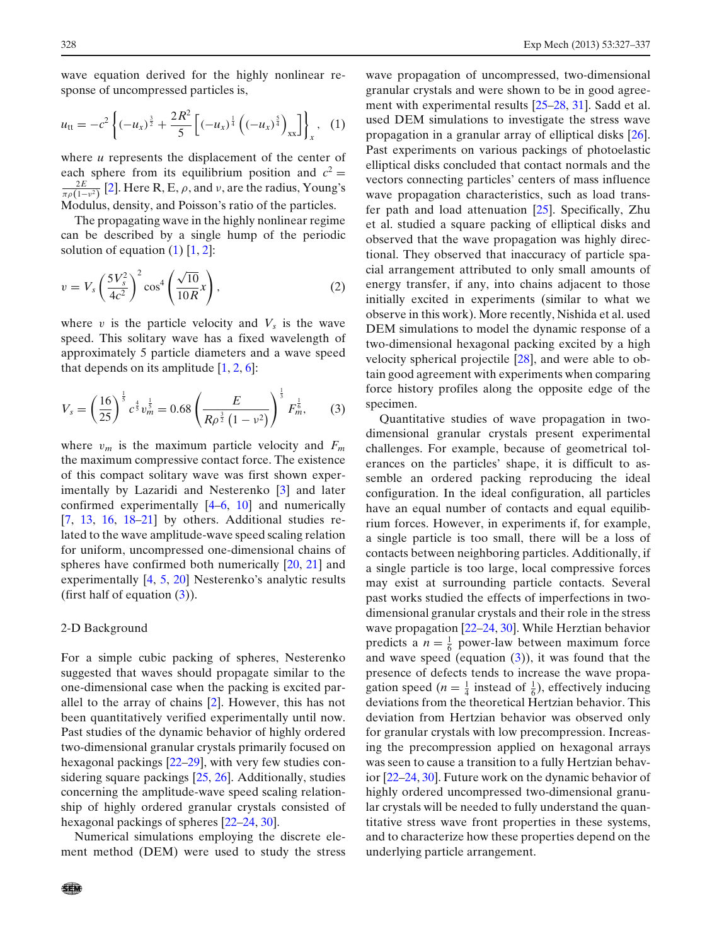<span id="page-1-0"></span>wave equation derived for the highly nonlinear response of uncompressed particles is,

$$
u_{tt} = -c^2 \left\{ (-u_x)^{\frac{3}{2}} + \frac{2R^2}{5} \left[ (-u_x)^{\frac{1}{4}} \left( (-u_x)^{\frac{5}{4}} \right)_{xx} \right] \right\}_x, (1)
$$

where *u* represents the displacement of the center of each sphere from its equilibrium position and  $c^2 =$  $\frac{2E}{\pi\rho(1-\nu^2)}$  [\[2](#page-9-0)]. Here R, E,  $\rho$ , and  $\nu$ , are the radius, Young's Modulus, density, and Poisson's ratio of the particles.

The propagating wave in the highly nonlinear regime can be described by a single hump of the periodic solution of equation  $(1)$   $[1, 2]$  $[1, 2]$  $[1, 2]$  $[1, 2]$ :

$$
v = V_s \left(\frac{5V_s^2}{4c^2}\right)^2 \cos^4\left(\frac{\sqrt{10}}{10R}x\right),\tag{2}
$$

where v is the particle velocity and  $V<sub>s</sub>$  is the wave speed. This solitary wave has a fixed wavelength of approximately 5 particle diameters and a wave speed that depends on its amplitude  $[1, 2, 6]$  $[1, 2, 6]$  $[1, 2, 6]$  $[1, 2, 6]$  $[1, 2, 6]$  $[1, 2, 6]$ :

$$
V_s = \left(\frac{16}{25}\right)^{\frac{1}{5}} c^{\frac{4}{5}} v_m^{\frac{1}{5}} = 0.68 \left(\frac{E}{R\rho^{\frac{3}{2}} \left(1 - v^2\right)}\right)^{\frac{1}{3}} F_m^{\frac{1}{6}},\qquad(3)
$$

where  $v_m$  is the maximum particle velocity and  $F_m$ the maximum compressive contact force. The existence of this compact solitary wave was first shown experimentally by Lazaridi and Nesterenko [\[3](#page-9-0)] and later confirmed experimentally [\[4–6,](#page-9-0) [10\]](#page-9-0) and numerically  $[7, 13, 16, 18-21]$  $[7, 13, 16, 18-21]$  $[7, 13, 16, 18-21]$  $[7, 13, 16, 18-21]$  $[7, 13, 16, 18-21]$  $[7, 13, 16, 18-21]$  by others. Additional studies related to the wave amplitude-wave speed scaling relation for uniform, uncompressed one-dimensional chains of spheres have confirmed both numerically [\[20](#page-9-0), [21](#page-9-0)] and experimentally [\[4](#page-9-0), [5](#page-9-0), [20](#page-9-0)] Nesterenko's analytic results (first half of equation  $(3)$ ).

### 2-D Background

For a simple cubic packing of spheres, Nesterenko suggested that waves should propagate similar to the one-dimensional case when the packing is excited parallel to the array of chains [\[2\]](#page-9-0). However, this has not been quantitatively verified experimentally until now. Past studies of the dynamic behavior of highly ordered two-dimensional granular crystals primarily focused on hexagonal packings [\[22–29](#page-9-0)], with very few studies considering square packings [\[25](#page-9-0), [26\]](#page-9-0). Additionally, studies concerning the amplitude-wave speed scaling relationship of highly ordered granular crystals consisted of hexagonal packings of spheres [\[22–24](#page-9-0), [30](#page-9-0)].

Numerical simulations employing the discrete element method (DEM) were used to study the stress wave propagation of uncompressed, two-dimensional granular crystals and were shown to be in good agreement with experimental results [\[25–28](#page-9-0), [31\]](#page-9-0). Sadd et al. used DEM simulations to investigate the stress wave propagation in a granular array of elliptical disks [\[26](#page-9-0)]. Past experiments on various packings of photoelastic elliptical disks concluded that contact normals and the vectors connecting particles' centers of mass influence wave propagation characteristics, such as load transfer path and load attenuation [\[25](#page-9-0)]. Specifically, Zhu et al. studied a square packing of elliptical disks and observed that the wave propagation was highly directional. They observed that inaccuracy of particle spacial arrangement attributed to only small amounts of energy transfer, if any, into chains adjacent to those initially excited in experiments (similar to what we observe in this work). More recently, Nishida et al. used DEM simulations to model the dynamic response of a two-dimensional hexagonal packing excited by a high velocity spherical projectile [\[28](#page-9-0)], and were able to obtain good agreement with experiments when comparing force history profiles along the opposite edge of the specimen.

Quantitative studies of wave propagation in twodimensional granular crystals present experimental challenges. For example, because of geometrical tolerances on the particles' shape, it is difficult to assemble an ordered packing reproducing the ideal configuration. In the ideal configuration, all particles have an equal number of contacts and equal equilibrium forces. However, in experiments if, for example, a single particle is too small, there will be a loss of contacts between neighboring particles. Additionally, if a single particle is too large, local compressive forces may exist at surrounding particle contacts. Several past works studied the effects of imperfections in twodimensional granular crystals and their role in the stress wave propagation [\[22–24](#page-9-0), [30\]](#page-9-0). While Herztian behavior predicts a  $n = \frac{1}{6}$  power-law between maximum force and wave speed (equation  $(3)$ ), it was found that the presence of defects tends to increase the wave propagation speed ( $n = \frac{1}{4}$  instead of  $\frac{1}{6}$ ), effectively inducing deviations from the theoretical Hertzian behavior. This deviation from Hertzian behavior was observed only for granular crystals with low precompression. Increasing the precompression applied on hexagonal arrays was seen to cause a transition to a fully Hertzian behavior [\[22–24,](#page-9-0) [30](#page-9-0)]. Future work on the dynamic behavior of highly ordered uncompressed two-dimensional granular crystals will be needed to fully understand the quantitative stress wave front properties in these systems, and to characterize how these properties depend on the underlying particle arrangement.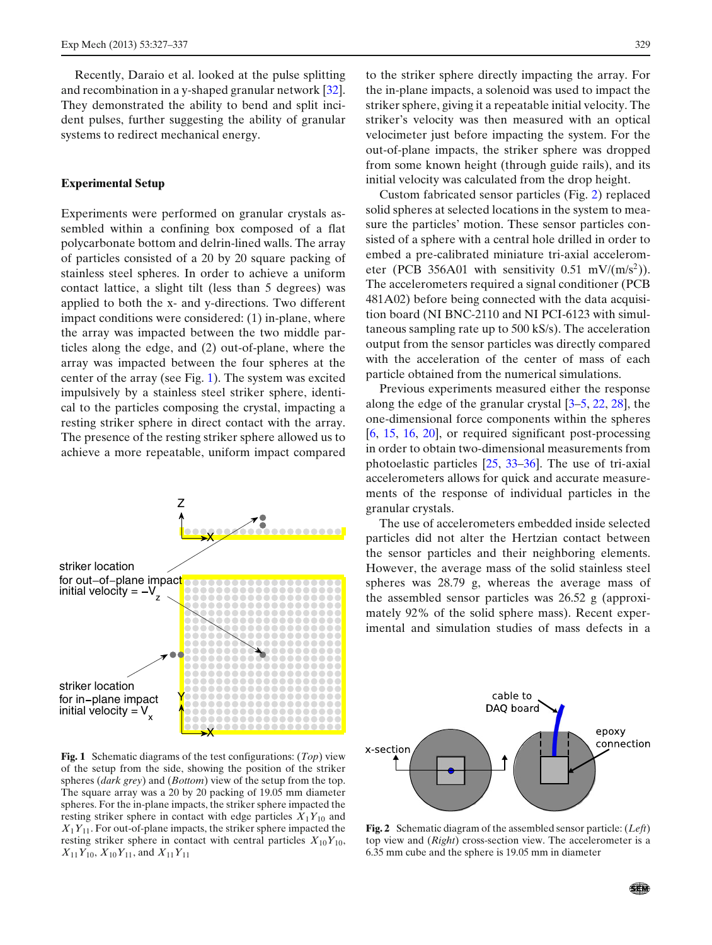Recently, Daraio et al. looked at the pulse splitting and recombination in a y-shaped granular network [\[32](#page-10-0)]. They demonstrated the ability to bend and split incident pulses, further suggesting the ability of granular systems to redirect mechanical energy.

### **Experimental Setup**

Experiments were performed on granular crystals assembled within a confining box composed of a flat polycarbonate bottom and delrin-lined walls. The array of particles consisted of a 20 by 20 square packing of stainless steel spheres. In order to achieve a uniform contact lattice, a slight tilt (less than 5 degrees) was applied to both the x- and y-directions. Two different impact conditions were considered: (1) in-plane, where the array was impacted between the two middle particles along the edge, and (2) out-of-plane, where the array was impacted between the four spheres at the center of the array (see Fig. 1). The system was excited impulsively by a stainless steel striker sphere, identical to the particles composing the crystal, impacting a resting striker sphere in direct contact with the array. The presence of the resting striker sphere allowed us to achieve a more repeatable, uniform impact compared



**Fig. 1** Schematic diagrams of the test configurations: (*Top*) view of the setup from the side, showing the position of the striker spheres (*dark grey*) and (*Bottom*) view of the setup from the top. The square array was a 20 by 20 packing of 19.05 mm diameter spheres. For the in-plane impacts, the striker sphere impacted the resting striker sphere in contact with edge particles  $X_1Y_{10}$  and  $X_1Y_{11}$ . For out-of-plane impacts, the striker sphere impacted the resting striker sphere in contact with central particles  $X_{10}Y_{10}$ ,  $X_{11}Y_{10}$ ,  $X_{10}Y_{11}$ , and  $X_{11}Y_{11}$ 

to the striker sphere directly impacting the array. For the in-plane impacts, a solenoid was used to impact the striker sphere, giving it a repeatable initial velocity. The striker's velocity was then measured with an optical velocimeter just before impacting the system. For the out-of-plane impacts, the striker sphere was dropped from some known height (through guide rails), and its initial velocity was calculated from the drop height.

Custom fabricated sensor particles (Fig. 2) replaced solid spheres at selected locations in the system to measure the particles' motion. These sensor particles consisted of a sphere with a central hole drilled in order to embed a pre-calibrated miniature tri-axial accelerometer (PCB 356A01 with sensitivity 0.51 mV/(m/s<sup>2</sup>)). The accelerometers required a signal conditioner (PCB 481A02) before being connected with the data acquisition board (NI BNC-2110 and NI PCI-6123 with simultaneous sampling rate up to 500 kS/s). The acceleration output from the sensor particles was directly compared with the acceleration of the center of mass of each particle obtained from the numerical simulations.

Previous experiments measured either the response along the edge of the granular crystal [\[3–5,](#page-9-0) [22](#page-9-0), [28\]](#page-9-0), the one-dimensional force components within the spheres [\[6](#page-9-0), [15,](#page-9-0) [16,](#page-9-0) [20](#page-9-0)], or required significant post-processing in order to obtain two-dimensional measurements from photoelastic particles [\[25,](#page-9-0) [33–36](#page-10-0)]. The use of tri-axial accelerometers allows for quick and accurate measurements of the response of individual particles in the granular crystals.

The use of accelerometers embedded inside selected particles did not alter the Hertzian contact between the sensor particles and their neighboring elements. However, the average mass of the solid stainless steel spheres was 28.79 g, whereas the average mass of the assembled sensor particles was 26.52 g (approximately 92% of the solid sphere mass). Recent experimental and simulation studies of mass defects in a



**Fig. 2** Schematic diagram of the assembled sensor particle: (*Left*) top view and (*Right*) cross-section view. The accelerometer is a 6.35 mm cube and the sphere is 19.05 mm in diameter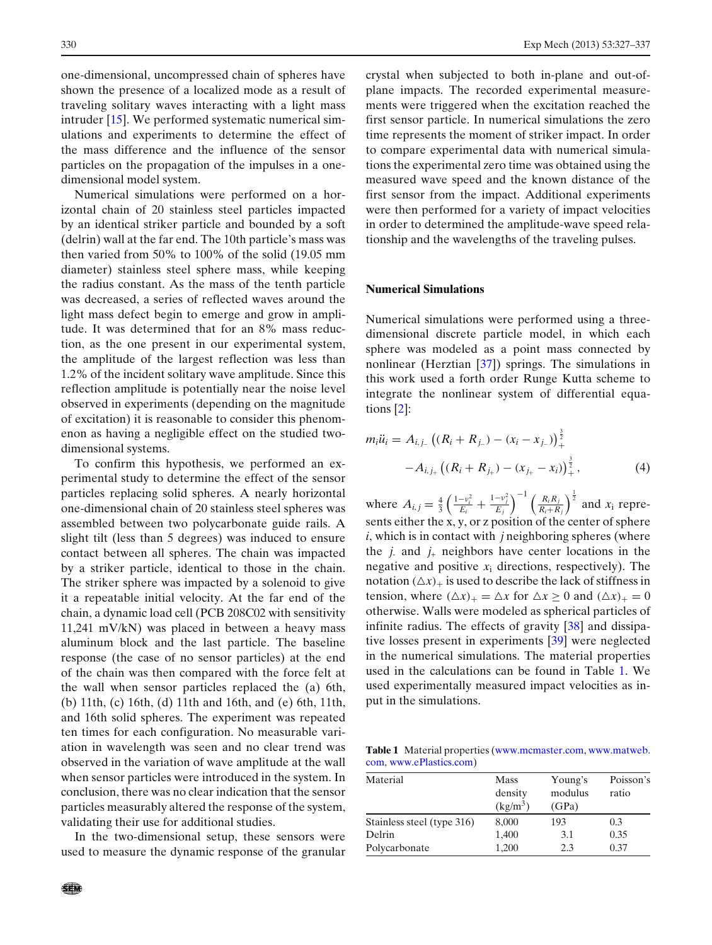one-dimensional, uncompressed chain of spheres have shown the presence of a localized mode as a result of traveling solitary waves interacting with a light mass intruder [\[15\]](#page-9-0). We performed systematic numerical simulations and experiments to determine the effect of the mass difference and the influence of the sensor particles on the propagation of the impulses in a onedimensional model system.

Numerical simulations were performed on a horizontal chain of 20 stainless steel particles impacted by an identical striker particle and bounded by a soft (delrin) wall at the far end. The 10th particle's mass was then varied from 50% to 100% of the solid (19.05 mm diameter) stainless steel sphere mass, while keeping the radius constant. As the mass of the tenth particle was decreased, a series of reflected waves around the light mass defect begin to emerge and grow in amplitude. It was determined that for an 8% mass reduction, as the one present in our experimental system, the amplitude of the largest reflection was less than 1.2% of the incident solitary wave amplitude. Since this reflection amplitude is potentially near the noise level observed in experiments (depending on the magnitude of excitation) it is reasonable to consider this phenomenon as having a negligible effect on the studied twodimensional systems.

To confirm this hypothesis, we performed an experimental study to determine the effect of the sensor particles replacing solid spheres. A nearly horizontal one-dimensional chain of 20 stainless steel spheres was assembled between two polycarbonate guide rails. A slight tilt (less than 5 degrees) was induced to ensure contact between all spheres. The chain was impacted by a striker particle, identical to those in the chain. The striker sphere was impacted by a solenoid to give it a repeatable initial velocity. At the far end of the chain, a dynamic load cell (PCB 208C02 with sensitivity 11,241 mV/kN) was placed in between a heavy mass aluminum block and the last particle. The baseline response (the case of no sensor particles) at the end of the chain was then compared with the force felt at the wall when sensor particles replaced the (a) 6th, (b) 11th, (c) 16th, (d) 11th and 16th, and (e) 6th, 11th, and 16th solid spheres. The experiment was repeated ten times for each configuration. No measurable variation in wavelength was seen and no clear trend was observed in the variation of wave amplitude at the wall when sensor particles were introduced in the system. In conclusion, there was no clear indication that the sensor particles measurably altered the response of the system, validating their use for additional studies.

In the two-dimensional setup, these sensors were used to measure the dynamic response of the granular crystal when subjected to both in-plane and out-ofplane impacts. The recorded experimental measurements were triggered when the excitation reached the first sensor particle. In numerical simulations the zero time represents the moment of striker impact. In order to compare experimental data with numerical simulations the experimental zero time was obtained using the measured wave speed and the known distance of the first sensor from the impact. Additional experiments were then performed for a variety of impact velocities in order to determined the amplitude-wave speed relationship and the wavelengths of the traveling pulses.

## **Numerical Simulations**

Numerical simulations were performed using a threedimensional discrete particle model, in which each sphere was modeled as a point mass connected by nonlinear (Herztian [\[37\]](#page-10-0)) springs. The simulations in this work used a forth order Runge Kutta scheme to integrate the nonlinear system of differential equations [\[2](#page-9-0)]:

$$
m_i \ddot{u}_i = A_{i,j_{-}} \left( (R_i + R_{j_{-}}) - (x_i - x_{j_{-}}) \right)^{\frac{3}{2}}_{+}
$$

$$
-A_{i,j_{+}} \left( (R_i + R_{j_{+}}) - (x_{j_{+}} - x_i) \right)^{\frac{3}{2}}_{+},
$$
(4)

where  $A_{i,j} = \frac{4}{3} \left( \frac{1 - v_i^2}{E_i} + \frac{1 - v_j^2}{E_j} \right)^{-1} \left( \frac{R_i R_j}{R_i + R_j} \right)^{\frac{1}{2}}$  and  $x_i$  represents either the x, y, or z position of the center of sphere *i*, which is in contact with *j* neighboring spheres (where the  $j$ - and  $j$ <sup>+</sup> neighbors have center locations in the negative and positive  $x_i$  directions, respectively). The notation  $(\Delta x)_+$  is used to describe the lack of stiffness in tension, where  $(\Delta x)_+ = \Delta x$  for  $\Delta x \ge 0$  and  $(\Delta x)_+ = 0$ otherwise. Walls were modeled as spherical particles of infinite radius. The effects of gravity [\[38](#page-10-0)] and dissipative losses present in experiments [\[39](#page-10-0)] were neglected in the numerical simulations. The material properties used in the calculations can be found in Table 1. We used experimentally measured impact velocities as input in the simulations.

**Table 1** Material properties [\(www.mcmaster.com,](http://www.mcmaster.com) [www.matweb.](http://www.matweb.com) [com,](http://www.matweb.com) [www.ePlastics.com\)](http://www.ePlastics.com)

| Material                   | Mass                  | Young's          | Poisson's |
|----------------------------|-----------------------|------------------|-----------|
|                            | density<br>$(kg/m^3)$ | modulus<br>(GPa) | ratio     |
| Stainless steel (type 316) | 8,000                 | 193              | 0.3       |
| Delrin                     | 1,400                 | 3.1              | 0.35      |
| Polycarbonate              | 1,200                 | 2.3              | 0.37      |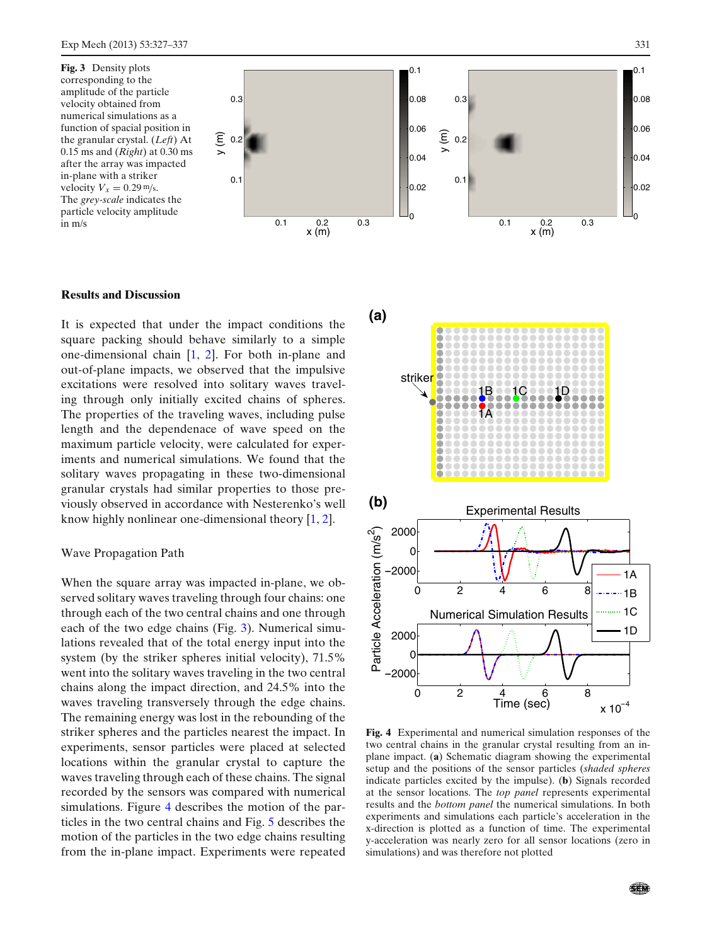

<span id="page-4-0"></span>

#### **Results and Discussion**

It is expected that under the impact conditions the square packing should behave similarly to a simple one-dimensional chain [\[1,](#page-9-0) [2\]](#page-9-0). For both in-plane and out-of-plane impacts, we observed that the impulsive excitations were resolved into solitary waves traveling through only initially excited chains of spheres. The properties of the traveling waves, including pulse length and the dependenace of wave speed on the maximum particle velocity, were calculated for experiments and numerical simulations. We found that the solitary waves propagating in these two-dimensional granular crystals had similar properties to those previously observed in accordance with Nesterenko's well know highly nonlinear one-dimensional theory [\[1,](#page-9-0) [2\]](#page-9-0).

#### Wave Propagation Path

When the square array was impacted in-plane, we observed solitary waves traveling through four chains: one through each of the two central chains and one through each of the two edge chains (Fig. 3). Numerical simulations revealed that of the total energy input into the system (by the striker spheres initial velocity), 71.5% went into the solitary waves traveling in the two central chains along the impact direction, and 24.5% into the waves traveling transversely through the edge chains. The remaining energy was lost in the rebounding of the striker spheres and the particles nearest the impact. In experiments, sensor particles were placed at selected locations within the granular crystal to capture the waves traveling through each of these chains. The signal recorded by the sensors was compared with numerical simulations. Figure 4 describes the motion of the particles in the two central chains and Fig. [5](#page-5-0) describes the motion of the particles in the two edge chains resulting from the in-plane impact. Experiments were repeated



**Fig. 4** Experimental and numerical simulation responses of the two central chains in the granular crystal resulting from an inplane impact. (**a**) Schematic diagram showing the experimental setup and the positions of the sensor particles (*shaded spheres* indicate particles excited by the impulse). (**b**) Signals recorded at the sensor locations. The *top panel* represents experimental results and the *bottom panel* the numerical simulations. In both experiments and simulations each particle's acceleration in the x-direction is plotted as a function of time. The experimental y-acceleration was nearly zero for all sensor locations (zero in simulations) and was therefore not plotted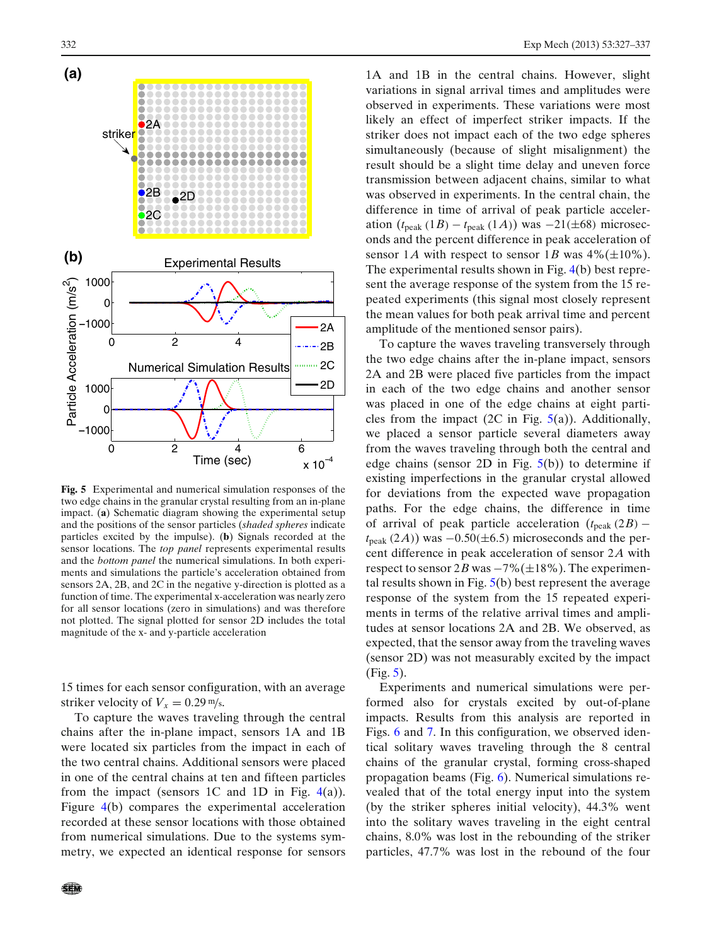<span id="page-5-0"></span>

**Fig. 5** Experimental and numerical simulation responses of the two edge chains in the granular crystal resulting from an in-plane impact. (**a**) Schematic diagram showing the experimental setup and the positions of the sensor particles (*shaded spheres* indicate particles excited by the impulse). (**b**) Signals recorded at the sensor locations. The *top panel* represents experimental results and the *bottom panel* the numerical simulations. In both experiments and simulations the particle's acceleration obtained from sensors 2A, 2B, and 2C in the negative y-direction is plotted as a function of time. The experimental x-acceleration was nearly zero for all sensor locations (zero in simulations) and was therefore not plotted. The signal plotted for sensor 2D includes the total magnitude of the x- and y-particle acceleration

15 times for each sensor configuration, with an average striker velocity of  $V_x = 0.29$  m/s.

To capture the waves traveling through the central chains after the in-plane impact, sensors 1A and 1B were located six particles from the impact in each of the two central chains. Additional sensors were placed in one of the central chains at ten and fifteen particles from the impact (sensors 1C and 1D in Fig.  $4(a)$  $4(a)$ ). Figure [4\(](#page-4-0)b) compares the experimental acceleration recorded at these sensor locations with those obtained from numerical simulations. Due to the systems symmetry, we expected an identical response for sensors

SEM

1A and 1B in the central chains. However, slight variations in signal arrival times and amplitudes were observed in experiments. These variations were most likely an effect of imperfect striker impacts. If the striker does not impact each of the two edge spheres simultaneously (because of slight misalignment) the result should be a slight time delay and uneven force transmission between adjacent chains, similar to what was observed in experiments. In the central chain, the difference in time of arrival of peak particle acceleration  $(t_{\text{peak}} (1B) - t_{\text{peak}} (1A))$  was  $-21(\pm 68)$  microseconds and the percent difference in peak acceleration of sensor 1*A* with respect to sensor 1*B* was  $4\%(\pm 10\%)$ . The experimental results shown in Fig. [4\(](#page-4-0)b) best represent the average response of the system from the 15 repeated experiments (this signal most closely represent the mean values for both peak arrival time and percent amplitude of the mentioned sensor pairs).

To capture the waves traveling transversely through the two edge chains after the in-plane impact, sensors 2A and 2B were placed five particles from the impact in each of the two edge chains and another sensor was placed in one of the edge chains at eight particles from the impact  $(2C \text{ in Fig. } 5(a))$ . Additionally, we placed a sensor particle several diameters away from the waves traveling through both the central and edge chains (sensor 2D in Fig.  $5(b)$ ) to determine if existing imperfections in the granular crystal allowed for deviations from the expected wave propagation paths. For the edge chains, the difference in time of arrival of peak particle acceleration  $(t_{\text{peak}}(2B)$  –  $t_{\text{peak}}(2A)$ ) was  $-0.50(\pm 6.5)$  microseconds and the percent difference in peak acceleration of sensor 2*A* with respect to sensor  $2B$  was  $-7\%(\pm 18\%)$ . The experimental results shown in Fig.  $5(b)$  best represent the average response of the system from the 15 repeated experiments in terms of the relative arrival times and amplitudes at sensor locations 2A and 2B. We observed, as expected, that the sensor away from the traveling waves (sensor 2D) was not measurably excited by the impact (Fig. 5).

Experiments and numerical simulations were performed also for crystals excited by out-of-plane impacts. Results from this analysis are reported in Figs. [6](#page-6-0) and [7.](#page-6-0) In this configuration, we observed identical solitary waves traveling through the 8 central chains of the granular crystal, forming cross-shaped propagation beams (Fig. [6\)](#page-6-0). Numerical simulations revealed that of the total energy input into the system (by the striker spheres initial velocity), 44.3% went into the solitary waves traveling in the eight central chains, 8.0% was lost in the rebounding of the striker particles, 47.7% was lost in the rebound of the four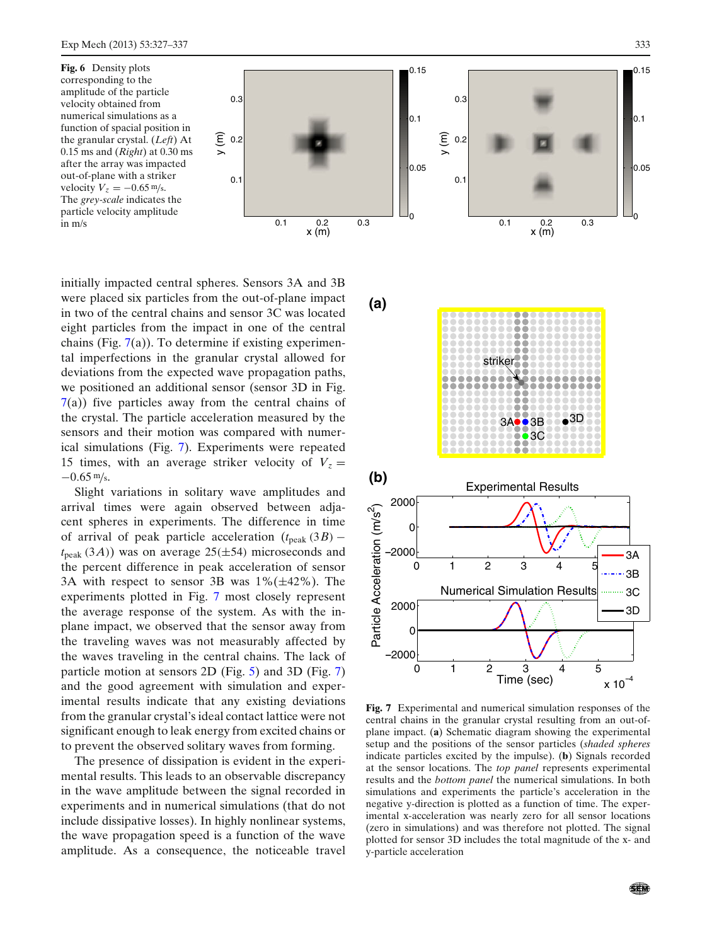

<span id="page-6-0"></span>

initially impacted central spheres. Sensors 3A and 3B were placed six particles from the out-of-plane impact in two of the central chains and sensor 3C was located eight particles from the impact in one of the central chains (Fig.  $7(a)$ ). To determine if existing experimental imperfections in the granular crystal allowed for deviations from the expected wave propagation paths, we positioned an additional sensor (sensor 3D in Fig.  $7(a)$ ) five particles away from the central chains of the crystal. The particle acceleration measured by the sensors and their motion was compared with numerical simulations (Fig. 7). Experiments were repeated 15 times, with an average striker velocity of  $V_z =$  $-0.65 \frac{\text{m}}{\text{s}}$ .

Slight variations in solitary wave amplitudes and arrival times were again observed between adjacent spheres in experiments. The difference in time of arrival of peak particle acceleration  $(t_{\text{peak}}(3B)$  $t_{\text{peak}}(3A)$ ) was on average 25( $\pm$ 54) microseconds and the percent difference in peak acceleration of sensor 3A with respect to sensor 3B was  $1\%(\pm 42\%)$ . The experiments plotted in Fig. 7 most closely represent the average response of the system. As with the inplane impact, we observed that the sensor away from the traveling waves was not measurably affected by the waves traveling in the central chains. The lack of particle motion at sensors 2D (Fig. [5\)](#page-5-0) and 3D (Fig. 7) and the good agreement with simulation and experimental results indicate that any existing deviations from the granular crystal's ideal contact lattice were not significant enough to leak energy from excited chains or to prevent the observed solitary waves from forming.

The presence of dissipation is evident in the experimental results. This leads to an observable discrepancy in the wave amplitude between the signal recorded in experiments and in numerical simulations (that do not include dissipative losses). In highly nonlinear systems, the wave propagation speed is a function of the wave amplitude. As a consequence, the noticeable travel



**Fig. 7** Experimental and numerical simulation responses of the central chains in the granular crystal resulting from an out-ofplane impact. (**a**) Schematic diagram showing the experimental setup and the positions of the sensor particles (*shaded spheres* indicate particles excited by the impulse). (**b**) Signals recorded at the sensor locations. The *top panel* represents experimental results and the *bottom panel* the numerical simulations. In both simulations and experiments the particle's acceleration in the negative y-direction is plotted as a function of time. The experimental x-acceleration was nearly zero for all sensor locations (zero in simulations) and was therefore not plotted. The signal plotted for sensor 3D includes the total magnitude of the x- and y-particle acceleration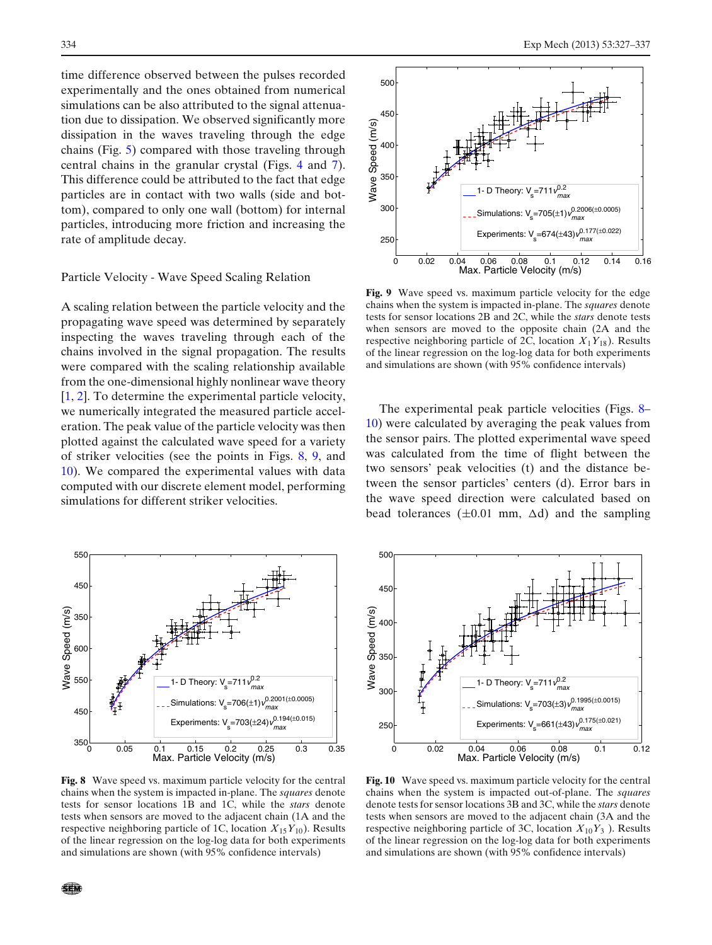<span id="page-7-0"></span>time difference observed between the pulses recorded experimentally and the ones obtained from numerical simulations can be also attributed to the signal attenuation due to dissipation. We observed significantly more dissipation in the waves traveling through the edge chains (Fig. [5\)](#page-5-0) compared with those traveling through central chains in the granular crystal (Figs. [4](#page-4-0) and [7\)](#page-6-0). This difference could be attributed to the fact that edge particles are in contact with two walls (side and bottom), compared to only one wall (bottom) for internal particles, introducing more friction and increasing the rate of amplitude decay.

## Particle Velocity - Wave Speed Scaling Relation

A scaling relation between the particle velocity and the propagating wave speed was determined by separately inspecting the waves traveling through each of the chains involved in the signal propagation. The results were compared with the scaling relationship available from the one-dimensional highly nonlinear wave theory [\[1](#page-9-0), [2\]](#page-9-0). To determine the experimental particle velocity, we numerically integrated the measured particle acceleration. The peak value of the particle velocity was then plotted against the calculated wave speed for a variety of striker velocities (see the points in Figs. 8, 9, and 10). We compared the experimental values with data computed with our discrete element model, performing simulations for different striker velocities.



**Fig. 8** Wave speed vs. maximum particle velocity for the central chains when the system is impacted in-plane. The *squares* denote tests for sensor locations 1B and 1C, while the *stars* denote tests when sensors are moved to the adjacent chain (1A and the respective neighboring particle of 1C, location  $X_{15}Y_{10}$ ). Results of the linear regression on the log-log data for both experiments and simulations are shown (with 95% confidence intervals)



**Fig. 9** Wave speed vs. maximum particle velocity for the edge chains when the system is impacted in-plane. The *squares* denote tests for sensor locations 2B and 2C, while the *stars* denote tests when sensors are moved to the opposite chain (2A and the respective neighboring particle of 2C, location  $X_1Y_{18}$ ). Results of the linear regression on the log-log data for both experiments and simulations are shown (with 95% confidence intervals)

The experimental peak particle velocities (Figs. 8– 10) were calculated by averaging the peak values from the sensor pairs. The plotted experimental wave speed was calculated from the time of flight between the two sensors' peak velocities (t) and the distance between the sensor particles' centers (d). Error bars in the wave speed direction were calculated based on bead tolerances ( $\pm 0.01$  mm,  $\Delta d$ ) and the sampling



**Fig. 10** Wave speed vs. maximum particle velocity for the central chains when the system is impacted out-of-plane. The *squares* denote tests for sensor locations 3B and 3C, while the *stars* denote tests when sensors are moved to the adjacent chain (3A and the respective neighboring particle of 3C, location  $X_{10}Y_3$ ). Results of the linear regression on the log-log data for both experiments and simulations are shown (with 95% confidence intervals)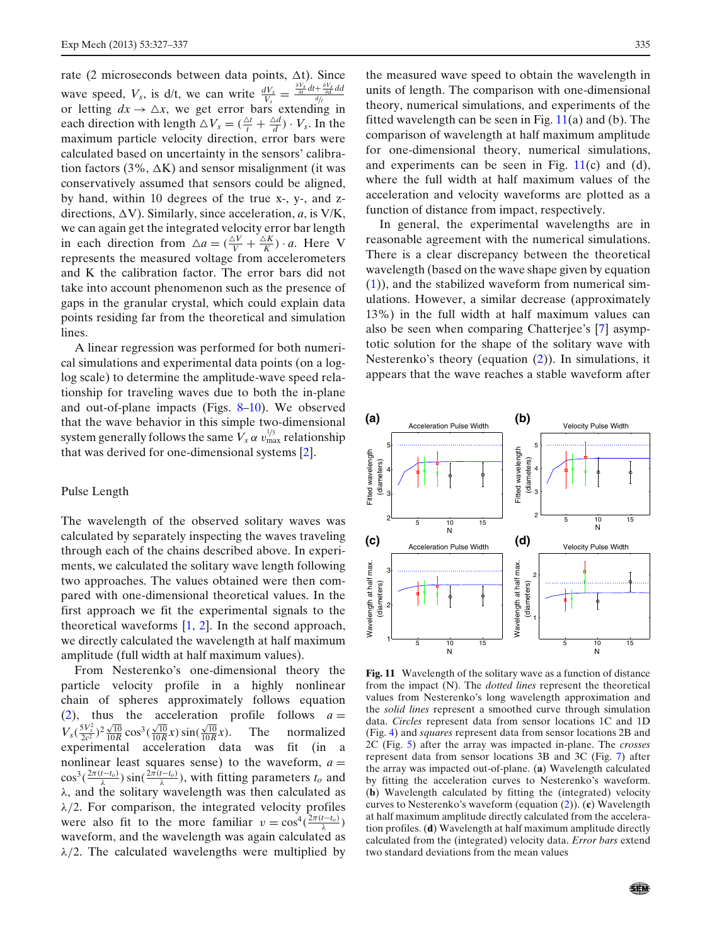rate (2 microseconds between data points,  $\Delta t$ ). Since wave speed,  $V_s$ , is d/t, we can write  $\frac{dV_s}{V_s} = \frac{\frac{\partial V_s}{\partial t} dt + \frac{\partial V_s}{\partial d}}{\frac{d}{t}} dt$ or letting  $dx \rightarrow \Delta x$ , we get error bars extending in each direction with length  $\Delta V_s = (\frac{\Delta t}{t} + \frac{\Delta d}{d}) \cdot V_s$ . In the maximum particle velocity direction, error bars were calculated based on uncertainty in the sensors' calibration factors (3%,  $\Delta K$ ) and sensor misalignment (it was conservatively assumed that sensors could be aligned, by hand, within 10 degrees of the true x-, y-, and zdirections,  $\Delta V$ ). Similarly, since acceleration, *a*, is V/K, we can again get the integrated velocity error bar length in each direction from  $\Delta a = (\frac{\Delta V}{V} + \frac{\Delta K}{K}) \cdot a$ . Here V represents the measured voltage from accelerometers and K the calibration factor. The error bars did not take into account phenomenon such as the presence of gaps in the granular crystal, which could explain data points residing far from the theoretical and simulation lines.

A linear regression was performed for both numerical simulations and experimental data points (on a loglog scale) to determine the amplitude-wave speed relationship for traveling waves due to both the in-plane and out-of-plane impacts (Figs. [8–10\)](#page-7-0). We observed that the wave behavior in this simple two-dimensional system generally follows the same  $\tilde{V}_s \alpha v_{\text{max}}^{1/s}$  relationship that was derived for one-dimensional systems [\[2\]](#page-9-0).

## Pulse Length

The wavelength of the observed solitary waves was calculated by separately inspecting the waves traveling through each of the chains described above. In experiments, we calculated the solitary wave length following two approaches. The values obtained were then compared with one-dimensional theoretical values. In the first approach we fit the experimental signals to the theoretical waveforms [\[1,](#page-9-0) [2\]](#page-9-0). In the second approach, we directly calculated the wavelength at half maximum amplitude (full width at half maximum values).

From Nesterenko's one-dimensional theory the particle velocity profile in a highly nonlinear chain of spheres approximately follows equation [\(2\)](#page-1-0), thus the acceleration profile follows  $a =$  $V_s$  ( $\frac{5V_s^2}{2c^2}$ )<sup>2</sup>  $\frac{\sqrt{10}}{10R}$  cos<sup>3</sup> ( $\frac{\sqrt{10}}{10R}$ *x*) sin( $\frac{\sqrt{10}}{10R}$ *x*). The normalized experimental acceleration data was fit (in a nonlinear least squares sense) to the waveform,  $a =$  $\cos^3(\frac{2\pi(t-t_o)}{\lambda})\sin(\frac{2\pi(t-t_o)}{\lambda})$ , with fitting parameters  $t_o$  and λ, and the solitary wavelength was then calculated as  $\lambda/2$ . For comparison, the integrated velocity profiles were also fit to the more familiar  $v = \cos^4(\frac{2\pi(t-t_0)}{\lambda})$ waveform, and the wavelength was again calculated as  $\lambda/2$ . The calculated wavelengths were multiplied by the measured wave speed to obtain the wavelength in units of length. The comparison with one-dimensional theory, numerical simulations, and experiments of the fitted wavelength can be seen in Fig.  $11(a)$  and (b). The comparison of wavelength at half maximum amplitude for one-dimensional theory, numerical simulations, and experiments can be seen in Fig.  $11(c)$  and (d), where the full width at half maximum values of the acceleration and velocity waveforms are plotted as a function of distance from impact, respectively.

In general, the experimental wavelengths are in reasonable agreement with the numerical simulations. There is a clear discrepancy between the theoretical wavelength (based on the wave shape given by equation [\(1\)](#page-1-0)), and the stabilized waveform from numerical simulations. However, a similar decrease (approximately 13%) in the full width at half maximum values can also be seen when comparing Chatterjee's [\[7](#page-9-0)] asymptotic solution for the shape of the solitary wave with Nesterenko's theory (equation [\(2\)](#page-1-0)). In simulations, it appears that the wave reaches a stable waveform after



**Fig. 11** Wavelength of the solitary wave as a function of distance from the impact (N). The *dotted lines* represent the theoretical values from Nesterenko's long wavelength approximation and the *solid lines* represent a smoothed curve through simulation data. *Circles* represent data from sensor locations 1C and 1D (Fig. [4\)](#page-4-0) and *squares* represent data from sensor locations 2B and 2C (Fig. [5\)](#page-5-0) after the array was impacted in-plane. The *crosses* represent data from sensor locations 3B and 3C (Fig. [7\)](#page-6-0) after the array was impacted out-of-plane. (**a**) Wavelength calculated by fitting the acceleration curves to Nesterenko's waveform. (**b**) Wavelength calculated by fitting the (integrated) velocity curves to Nesterenko's waveform (equation [\(2\)](#page-1-0)). (**c**) Wavelength at half maximum amplitude directly calculated from the acceleration profiles. (**d**) Wavelength at half maximum amplitude directly calculated from the (integrated) velocity data. *Error bars* extend two standard deviations from the mean values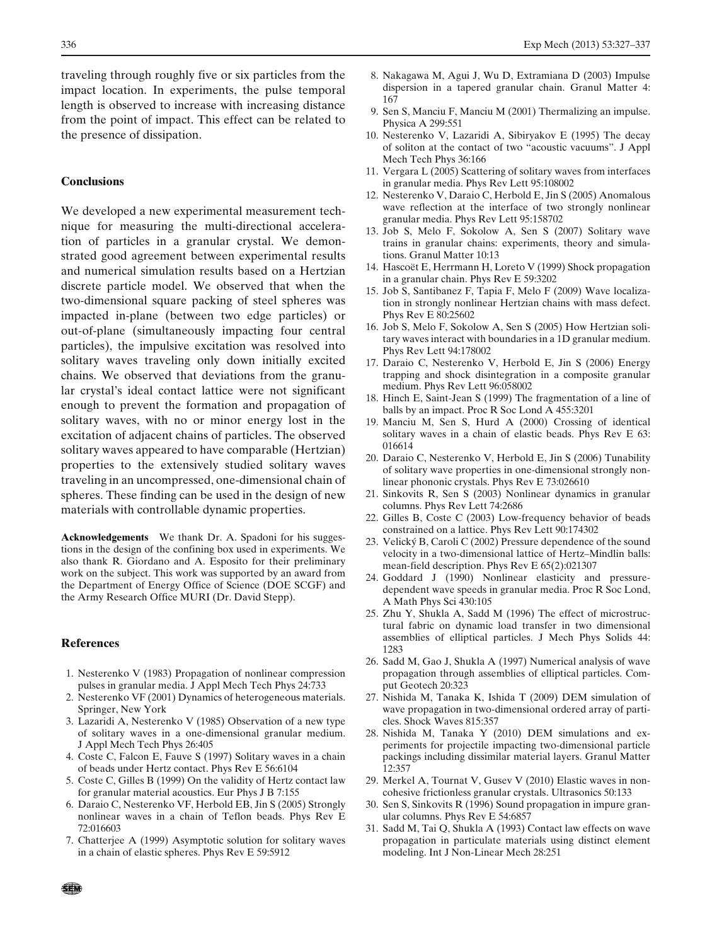<span id="page-9-0"></span>traveling through roughly five or six particles from the impact location. In experiments, the pulse temporal length is observed to increase with increasing distance from the point of impact. This effect can be related to the presence of dissipation.

## **Conclusions**

We developed a new experimental measurement technique for measuring the multi-directional acceleration of particles in a granular crystal. We demonstrated good agreement between experimental results and numerical simulation results based on a Hertzian discrete particle model. We observed that when the two-dimensional square packing of steel spheres was impacted in-plane (between two edge particles) or out-of-plane (simultaneously impacting four central particles), the impulsive excitation was resolved into solitary waves traveling only down initially excited chains. We observed that deviations from the granular crystal's ideal contact lattice were not significant enough to prevent the formation and propagation of solitary waves, with no or minor energy lost in the excitation of adjacent chains of particles. The observed solitary waves appeared to have comparable (Hertzian) properties to the extensively studied solitary waves traveling in an uncompressed, one-dimensional chain of spheres. These finding can be used in the design of new materials with controllable dynamic properties.

**Acknowledgements** We thank Dr. A. Spadoni for his suggestions in the design of the confining box used in experiments. We also thank R. Giordano and A. Esposito for their preliminary work on the subject. This work was supported by an award from the Department of Energy Office of Science (DOE SCGF) and the Army Research Office MURI (Dr. David Stepp).

## **References**

- 1. Nesterenko V (1983) Propagation of nonlinear compression pulses in granular media. J Appl Mech Tech Phys 24:733
- 2. Nesterenko VF (2001) Dynamics of heterogeneous materials. Springer, New York
- 3. Lazaridi A, Nesterenko V (1985) Observation of a new type of solitary waves in a one-dimensional granular medium. J Appl Mech Tech Phys 26:405
- 4. Coste C, Falcon E, Fauve S (1997) Solitary waves in a chain of beads under Hertz contact. Phys Rev E 56:6104
- 5. Coste C, Gilles B (1999) On the validity of Hertz contact law for granular material acoustics. Eur Phys J B 7:155
- 6. Daraio C, Nesterenko VF, Herbold EB, Jin S (2005) Strongly nonlinear waves in a chain of Teflon beads. Phys Rev E 72:016603
- 7. Chatterjee A (1999) Asymptotic solution for solitary waves in a chain of elastic spheres. Phys Rev E 59:5912
- 8. Nakagawa M, Agui J, Wu D, Extramiana D (2003) Impulse dispersion in a tapered granular chain. Granul Matter 4: 167
- 9. Sen S, Manciu F, Manciu M (2001) Thermalizing an impulse. Physica A 299:551
- 10. Nesterenko V, Lazaridi A, Sibiryakov E (1995) The decay of soliton at the contact of two "acoustic vacuums". J Appl Mech Tech Phys 36:166
- 11. Vergara L (2005) Scattering of solitary waves from interfaces in granular media. Phys Rev Lett 95:108002
- 12. Nesterenko V, Daraio C, Herbold E, Jin S (2005) Anomalous wave reflection at the interface of two strongly nonlinear granular media. Phys Rev Lett 95:158702
- 13. Job S, Melo F, Sokolow A, Sen S (2007) Solitary wave trains in granular chains: experiments, theory and simulations. Granul Matter 10:13
- 14. Hascoët E, Herrmann H, Loreto V (1999) Shock propagation in a granular chain. Phys Rev E 59:3202
- 15. Job S, Santibanez F, Tapia F, Melo F (2009) Wave localization in strongly nonlinear Hertzian chains with mass defect. Phys Rev E 80:25602
- 16. Job S, Melo F, Sokolow A, Sen S (2005) How Hertzian solitary waves interact with boundaries in a 1D granular medium. Phys Rev Lett 94:178002
- 17. Daraio C, Nesterenko V, Herbold E, Jin S (2006) Energy trapping and shock disintegration in a composite granular medium. Phys Rev Lett 96:058002
- 18. Hinch E, Saint-Jean S (1999) The fragmentation of a line of balls by an impact. Proc R Soc Lond A 455:3201
- 19. Manciu M, Sen S, Hurd A (2000) Crossing of identical solitary waves in a chain of elastic beads. Phys Rev E 63: 016614
- 20. Daraio C, Nesterenko V, Herbold E, Jin S (2006) Tunability of solitary wave properties in one-dimensional strongly nonlinear phononic crystals. Phys Rev E 73:026610
- 21. Sinkovits R, Sen S (2003) Nonlinear dynamics in granular columns. Phys Rev Lett 74:2686
- 22. Gilles B, Coste C (2003) Low-frequency behavior of beads constrained on a lattice. Phys Rev Lett 90:174302
- 23. Velický B, Caroli C (2002) Pressure dependence of the sound velocity in a two-dimensional lattice of Hertz–Mindlin balls: mean-field description. Phys Rev E 65(2):021307
- 24. Goddard J (1990) Nonlinear elasticity and pressuredependent wave speeds in granular media. Proc R Soc Lond, A Math Phys Sci 430:105
- 25. Zhu Y, Shukla A, Sadd M (1996) The effect of microstructural fabric on dynamic load transfer in two dimensional assemblies of elliptical particles. J Mech Phys Solids 44: 1283
- 26. Sadd M, Gao J, Shukla A (1997) Numerical analysis of wave propagation through assemblies of elliptical particles. Comput Geotech 20:323
- 27. Nishida M, Tanaka K, Ishida T (2009) DEM simulation of wave propagation in two-dimensional ordered array of particles. Shock Waves 815:357
- 28. Nishida M, Tanaka Y (2010) DEM simulations and experiments for projectile impacting two-dimensional particle packings including dissimilar material layers. Granul Matter 12:357
- 29. Merkel A, Tournat V, Gusev V (2010) Elastic waves in noncohesive frictionless granular crystals. Ultrasonics 50:133
- 30. Sen S, Sinkovits R (1996) Sound propagation in impure granular columns. Phys Rev E 54:6857
- 31. Sadd M, Tai Q, Shukla A (1993) Contact law effects on wave propagation in particulate materials using distinct element modeling. Int J Non-Linear Mech 28:251